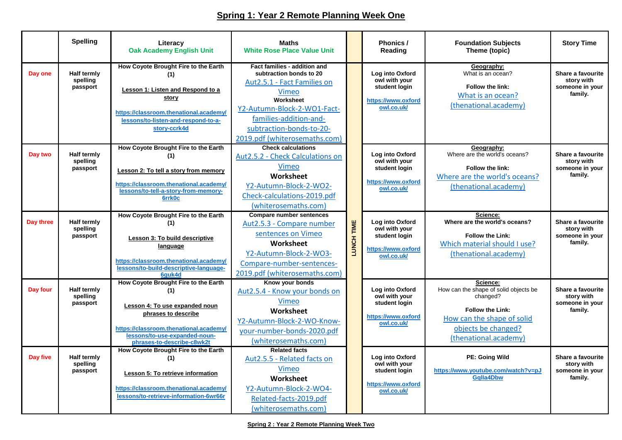## **Spring 1: Year 2 Remote Planning Week One**

|           | <b>Spelling</b>                            | Literacy<br><b>Oak Academy English Unit</b>                                                                                                                                                                   | <b>Maths</b><br><b>White Rose Place Value Unit</b>                                                                                                                                                                                  |                   | Phonics /<br>Reading                                                                  | <b>Foundation Subjects</b><br>Theme (topic)                                                                                                                            | <b>Story Time</b>                                                                                 |                                                               |
|-----------|--------------------------------------------|---------------------------------------------------------------------------------------------------------------------------------------------------------------------------------------------------------------|-------------------------------------------------------------------------------------------------------------------------------------------------------------------------------------------------------------------------------------|-------------------|---------------------------------------------------------------------------------------|------------------------------------------------------------------------------------------------------------------------------------------------------------------------|---------------------------------------------------------------------------------------------------|---------------------------------------------------------------|
| Day one   | <b>Half termly</b><br>spelling<br>passport | How Coyote Brought Fire to the Earth<br>(1)<br>Lesson 1: Listen and Respond to a<br>story<br>https://classroom.thenational.academy/<br>lessons/to-listen-and-respond-to-a-<br>story-ccrk4d                    | Fact families - addition and<br>subtraction bonds to 20<br>Aut 2.5.1 - Fact Families on<br>Vimeo<br>Worksheet<br>Y2-Autumn-Block-2-WO1-Fact-<br>families-addition-and-<br>subtraction-bonds-to-20-<br>2019.pdf (whiterosemaths.com) |                   |                                                                                       | Log into Oxford<br>owl with your<br>student login<br>https://www.oxford<br>owl.co.uk/                                                                                  | Geography:<br>What is an ocean?<br>Follow the link:<br>What is an ocean?<br>(thenational.academy) | Share a favourite<br>story with<br>someone in your<br>family. |
| Day two   | <b>Half termly</b><br>spelling<br>passport | How Coyote Brought Fire to the Earth<br>(1)<br>Lesson 2: To tell a story from memory<br>https://classroom.thenational.academy/<br>lessons/to-tell-a-story-from-memory-<br>6rrk0c                              | <b>Check calculations</b><br>Aut2.5.2 - Check Calculations on<br>Vimeo<br>Worksheet<br>Y2-Autumn-Block-2-WO2-<br>Check-calculations-2019.pdf<br>(whiterosemaths.com)                                                                |                   | Log into Oxford<br>owl with your<br>student login<br>https://www.oxford<br>owl.co.uk/ | Geography:<br>Where are the world's oceans?<br>Follow the link:<br>Where are the world's oceans?<br>(thenational.academy)                                              | Share a favourite<br>story with<br>someone in your<br>family.                                     |                                                               |
| Day three | Half termly<br>spelling<br>passport        | How Coyote Brought Fire to the Earth<br>(1)<br>Lesson 3: To build descriptive<br>language<br>https://classroom.thenational.academy/<br>lessons/to-build-descriptive-language-<br>6auk4d                       | <b>Compare number sentences</b><br>Aut2.5.3 - Compare number<br>sentences on Vimeo<br>Worksheet<br>Y2-Autumn-Block-2-WO3-<br>Compare-number-sentences-<br>2019.pdf (whiterosemaths.com)                                             | <b>LUNCH TIME</b> | Log into Oxford<br>owl with your<br>student login<br>https://www.oxford<br>owl.co.uk/ | Science:<br>Where are the world's oceans?<br><b>Follow the Link:</b><br>Which material should I use?<br>(thenational.academy)                                          | Share a favourite<br>story with<br>someone in your<br>family.                                     |                                                               |
| Day four  | Half termly<br>spelling<br>passport        | How Coyote Brought Fire to the Earth<br>(1)<br>Lesson 4: To use expanded noun<br>phrases to describe<br>https://classroom.thenational.academy/<br>lessons/to-use-expanded-noun-<br>phrases-to-describe-c8wk2t | Know your bonds<br>Aut2.5.4 - Know your bonds on<br>Vimeo<br>Worksheet<br>Y2-Autumn-Block-2-WO-Know-<br>your-number-bonds-2020.pdf<br>(whiterosemaths.com)                                                                          |                   | Log into Oxford<br>owl with your<br>student login<br>https://www.oxford<br>owl.co.uk/ | Science:<br>How can the shape of solid objects be<br>changed?<br><b>Follow the Link:</b><br>How can the shape of solid<br>objects be changed?<br>(thenational.academy) | Share a favourite<br>story with<br>someone in your<br>family.                                     |                                                               |
| Day five  | <b>Half termly</b><br>spelling<br>passport | How Coyote Brought Fire to the Earth<br>(1)<br><b>Lesson 5: To retrieve information</b><br>https://classroom.thenational.academy/<br>lessons/to-retrieve-information-6wr66r                                   | <b>Related facts</b><br>Aut2.5.5 - Related facts on<br>Vimeo<br>Worksheet<br>Y2-Autumn-Block-2-WO4-<br>Related-facts-2019.pdf<br>(whiterosemaths.com)                                                                               |                   | Log into Oxford<br>owl with your<br>student login<br>https://www.oxford<br>owl.co.uk/ | PE: Going Wild<br>https://www.youtube.com/watch?v=pJ<br><b>Galla4Dbw</b>                                                                                               | Share a favourite<br>story with<br>someone in your<br>family.                                     |                                                               |

**Spring 2 : Year 2 Remote Planning Week Two**